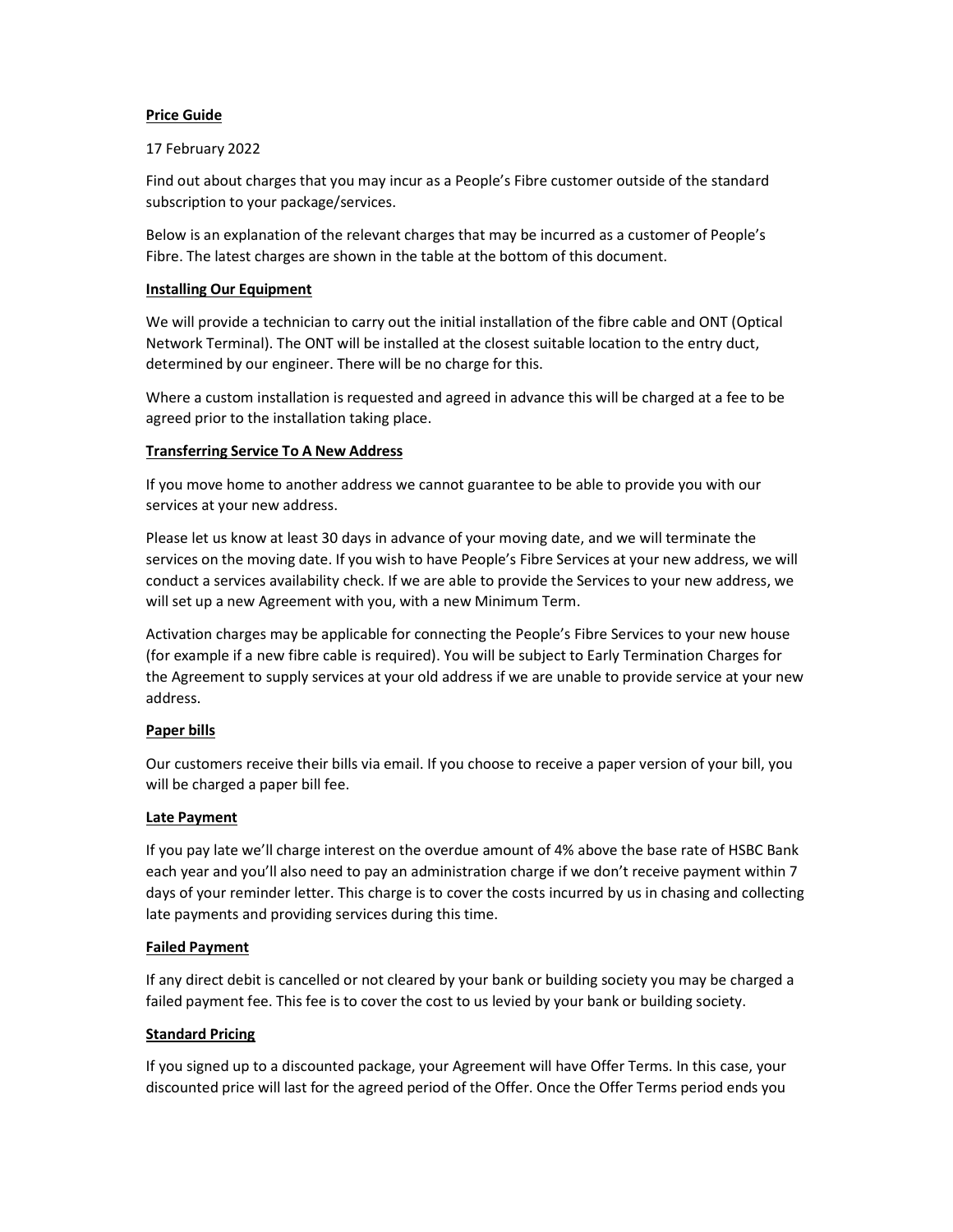# Price Guide

## 17 February 2022

Find out about charges that you may incur as a People's Fibre customer outside of the standard subscription to your package/services.

Below is an explanation of the relevant charges that may be incurred as a customer of People's Fibre. The latest charges are shown in the table at the bottom of this document.

# Installing Our Equipment

We will provide a technician to carry out the initial installation of the fibre cable and ONT (Optical Network Terminal). The ONT will be installed at the closest suitable location to the entry duct, determined by our engineer. There will be no charge for this.

Where a custom installation is requested and agreed in advance this will be charged at a fee to be agreed prior to the installation taking place.

# Transferring Service To A New Address

If you move home to another address we cannot guarantee to be able to provide you with our services at your new address.

Please let us know at least 30 days in advance of your moving date, and we will terminate the services on the moving date. If you wish to have People's Fibre Services at your new address, we will conduct a services availability check. If we are able to provide the Services to your new address, we will set up a new Agreement with you, with a new Minimum Term.

Activation charges may be applicable for connecting the People's Fibre Services to your new house (for example if a new fibre cable is required). You will be subject to Early Termination Charges for the Agreement to supply services at your old address if we are unable to provide service at your new address.

# Paper bills

Our customers receive their bills via email. If you choose to receive a paper version of your bill, you will be charged a paper bill fee.

# Late Payment

If you pay late we'll charge interest on the overdue amount of 4% above the base rate of HSBC Bank each year and you'll also need to pay an administration charge if we don't receive payment within 7 days of your reminder letter. This charge is to cover the costs incurred by us in chasing and collecting late payments and providing services during this time.

## Failed Payment

If any direct debit is cancelled or not cleared by your bank or building society you may be charged a failed payment fee. This fee is to cover the cost to us levied by your bank or building society.

## Standard Pricing

If you signed up to a discounted package, your Agreement will have Offer Terms. In this case, your discounted price will last for the agreed period of the Offer. Once the Offer Terms period ends you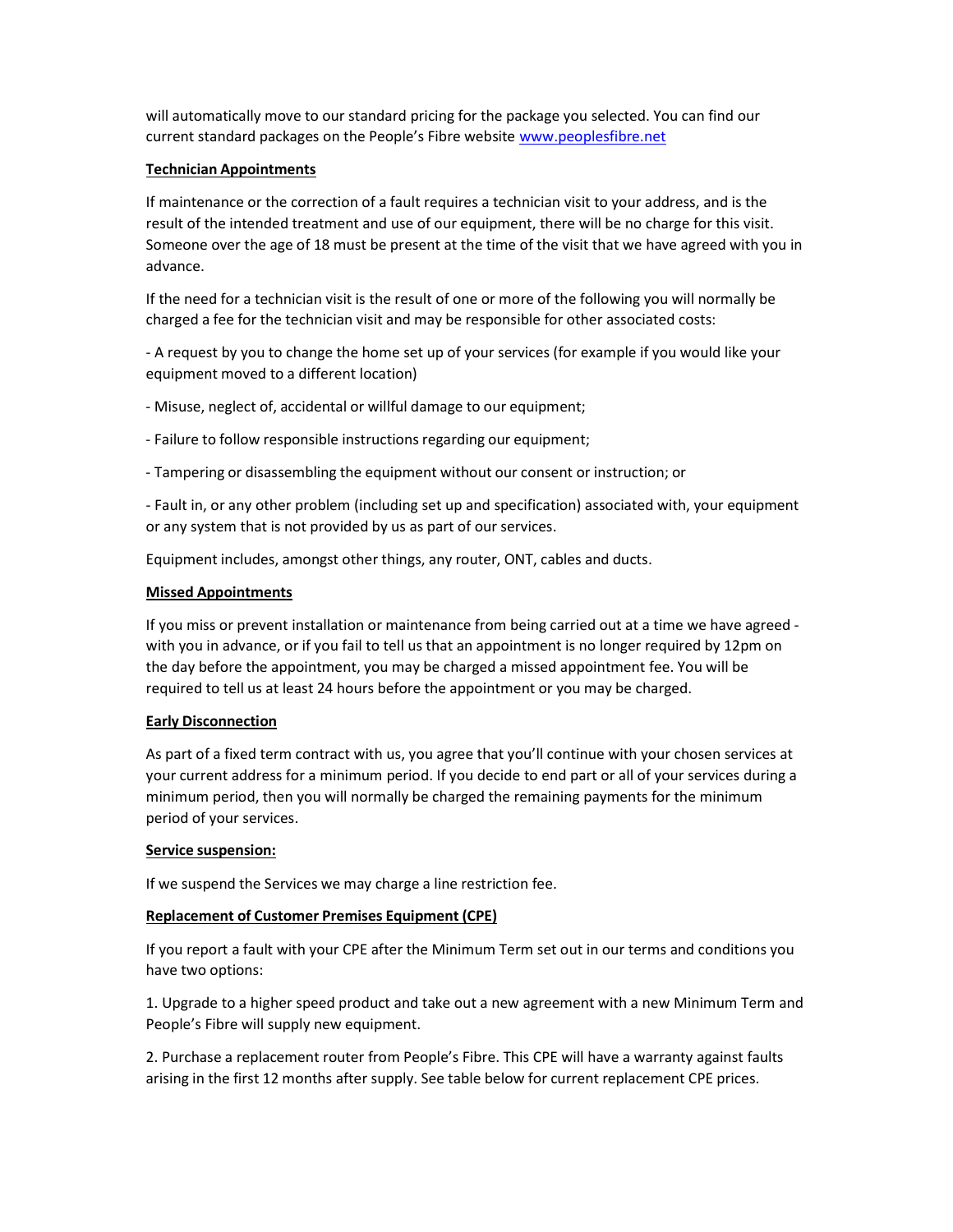will automatically move to our standard pricing for the package you selected. You can find our current standard packages on the People's Fibre website www.peoplesfibre.net

### Technician Appointments

If maintenance or the correction of a fault requires a technician visit to your address, and is the result of the intended treatment and use of our equipment, there will be no charge for this visit. Someone over the age of 18 must be present at the time of the visit that we have agreed with you in advance.

If the need for a technician visit is the result of one or more of the following you will normally be charged a fee for the technician visit and may be responsible for other associated costs:

- A request by you to change the home set up of your services (for example if you would like your equipment moved to a different location)

- Misuse, neglect of, accidental or willful damage to our equipment;

- Failure to follow responsible instructions regarding our equipment;

- Tampering or disassembling the equipment without our consent or instruction; or

- Fault in, or any other problem (including set up and specification) associated with, your equipment or any system that is not provided by us as part of our services.

Equipment includes, amongst other things, any router, ONT, cables and ducts.

#### Missed Appointments

If you miss or prevent installation or maintenance from being carried out at a time we have agreed with you in advance, or if you fail to tell us that an appointment is no longer required by 12pm on the day before the appointment, you may be charged a missed appointment fee. You will be required to tell us at least 24 hours before the appointment or you may be charged.

## Early Disconnection

As part of a fixed term contract with us, you agree that you'll continue with your chosen services at your current address for a minimum period. If you decide to end part or all of your services during a minimum period, then you will normally be charged the remaining payments for the minimum period of your services.

#### Service suspension:

If we suspend the Services we may charge a line restriction fee.

## Replacement of Customer Premises Equipment (CPE)

If you report a fault with your CPE after the Minimum Term set out in our terms and conditions you have two options:

1. Upgrade to a higher speed product and take out a new agreement with a new Minimum Term and People's Fibre will supply new equipment.

2. Purchase a replacement router from People's Fibre. This CPE will have a warranty against faults arising in the first 12 months after supply. See table below for current replacement CPE prices.